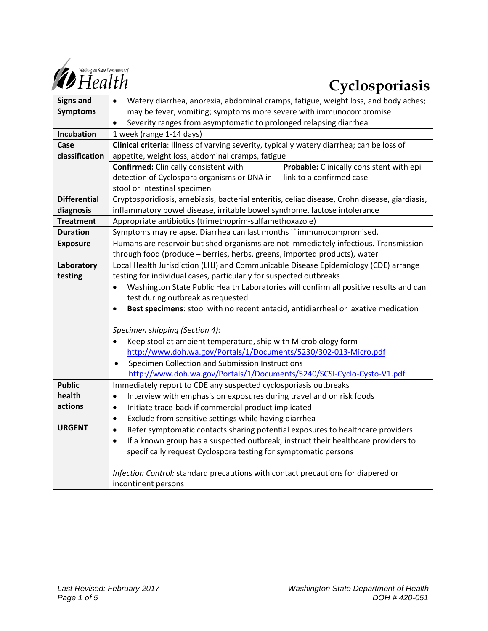

| <b>Signs and</b>    | Watery diarrhea, anorexia, abdominal cramps, fatigue, weight loss, and body aches;<br>$\bullet$    |                                          |
|---------------------|----------------------------------------------------------------------------------------------------|------------------------------------------|
| <b>Symptoms</b>     | may be fever, vomiting; symptoms more severe with immunocompromise                                 |                                          |
|                     | Severity ranges from asymptomatic to prolonged relapsing diarrhea<br>$\bullet$                     |                                          |
| <b>Incubation</b>   | 1 week (range 1-14 days)                                                                           |                                          |
| Case                | Clinical criteria: Illness of varying severity, typically watery diarrhea; can be loss of          |                                          |
| classification      | appetite, weight loss, abdominal cramps, fatigue                                                   |                                          |
|                     | <b>Confirmed:</b> Clinically consistent with                                                       | Probable: Clinically consistent with epi |
|                     | detection of Cyclospora organisms or DNA in                                                        | link to a confirmed case                 |
|                     | stool or intestinal specimen                                                                       |                                          |
| <b>Differential</b> | Cryptosporidiosis, amebiasis, bacterial enteritis, celiac disease, Crohn disease, giardiasis,      |                                          |
| diagnosis           | inflammatory bowel disease, irritable bowel syndrome, lactose intolerance                          |                                          |
| <b>Treatment</b>    | Appropriate antibiotics (trimethoprim-sulfamethoxazole)                                            |                                          |
| <b>Duration</b>     | Symptoms may relapse. Diarrhea can last months if immunocompromised.                               |                                          |
| <b>Exposure</b>     | Humans are reservoir but shed organisms are not immediately infectious. Transmission               |                                          |
|                     | through food (produce - berries, herbs, greens, imported products), water                          |                                          |
| Laboratory          | Local Health Jurisdiction (LHJ) and Communicable Disease Epidemiology (CDE) arrange                |                                          |
| testing             | testing for individual cases, particularly for suspected outbreaks                                 |                                          |
|                     | Washington State Public Health Laboratories will confirm all positive results and can<br>$\bullet$ |                                          |
|                     | test during outbreak as requested                                                                  |                                          |
|                     | Best specimens: stool with no recent antacid, antidiarrheal or laxative medication<br>$\bullet$    |                                          |
|                     |                                                                                                    |                                          |
|                     | Specimen shipping (Section 4):                                                                     |                                          |
|                     | Keep stool at ambient temperature, ship with Microbiology form<br>$\bullet$                        |                                          |
|                     | http://www.doh.wa.gov/Portals/1/Documents/5230/302-013-Micro.pdf                                   |                                          |
|                     | Specimen Collection and Submission Instructions<br>$\bullet$                                       |                                          |
|                     | http://www.doh.wa.gov/Portals/1/Documents/5240/SCSI-Cyclo-Cysto-V1.pdf                             |                                          |
| <b>Public</b>       | Immediately report to CDE any suspected cyclosporiasis outbreaks                                   |                                          |
| health              | Interview with emphasis on exposures during travel and on risk foods<br>$\bullet$                  |                                          |
| actions             | Initiate trace-back if commercial product implicated<br>$\bullet$                                  |                                          |
|                     | Exclude from sensitive settings while having diarrhea<br>$\bullet$                                 |                                          |
| <b>URGENT</b>       | Refer symptomatic contacts sharing potential exposures to healthcare providers<br>$\bullet$        |                                          |
|                     | If a known group has a suspected outbreak, instruct their healthcare providers to<br>$\bullet$     |                                          |
|                     | specifically request Cyclospora testing for symptomatic persons                                    |                                          |
|                     | Infection Control: standard precautions with contact precautions for diapered or                   |                                          |
|                     | incontinent persons                                                                                |                                          |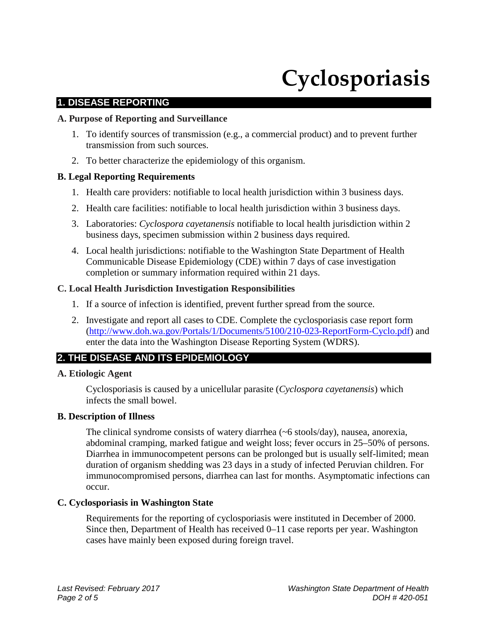# **Cyclosporiasis**

## **1. DISEASE REPORTING**

#### **A. Purpose of Reporting and Surveillance**

- 1. To identify sources of transmission (e.g., a commercial product) and to prevent further transmission from such sources.
- 2. To better characterize the epidemiology of this organism.

#### **B. Legal Reporting Requirements**

- 1. Health care providers: notifiable to local health jurisdiction within 3 business days.
- 2. Health care facilities: notifiable to local health jurisdiction within 3 business days.
- 3. Laboratories: *Cyclospora cayetanensis* notifiable to local health jurisdiction within 2 business days, specimen submission within 2 business days required.
- 4. Local health jurisdictions: notifiable to the Washington State Department of Health Communicable Disease Epidemiology (CDE) within 7 days of case investigation completion or summary information required within 21 days.

#### **C. Local Health Jurisdiction Investigation Responsibilities**

- 1. If a source of infection is identified, prevent further spread from the source.
- 2. Investigate and report all cases to CDE. Complete the cyclosporiasis case report form [\(http://www.doh.wa.gov/Portals/1/Documents/5100/210-023-ReportForm-Cyclo.pdf\)](http://www.doh.wa.gov/Portals/1/Documents/5100/210-023-ReportForm-Cyclo.pdf) and enter the data into the Washington Disease Reporting System (WDRS).

# **2. THE DISEASE AND ITS EPIDEMIOLOGY**

#### **A. Etiologic Agent**

Cyclosporiasis is caused by a unicellular parasite (*Cyclospora cayetanensis*) which infects the small bowel.

#### **B. Description of Illness**

The clinical syndrome consists of watery diarrhea (~6 stools/day), nausea, anorexia, abdominal cramping, marked fatigue and weight loss; fever occurs in 25–50% of persons. Diarrhea in immunocompetent persons can be prolonged but is usually self-limited; mean duration of organism shedding was 23 days in a study of infected Peruvian children. For immunocompromised persons, diarrhea can last for months. Asymptomatic infections can occur.

#### **C. Cyclosporiasis in Washington State**

Requirements for the reporting of cyclosporiasis were instituted in December of 2000. Since then, Department of Health has received 0–11 case reports per year. Washington cases have mainly been exposed during foreign travel.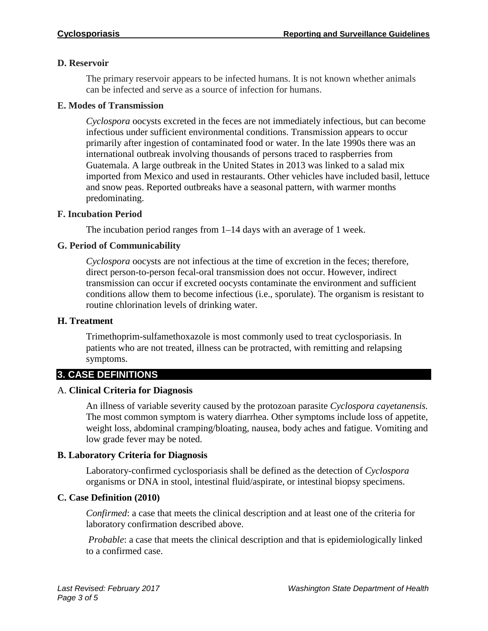## **D. Reservoir**

The primary reservoir appears to be infected humans. It is not known whether animals can be infected and serve as a source of infection for humans.

#### **E. Modes of Transmission**

*Cyclospora* oocysts excreted in the feces are not immediately infectious, but can become infectious under sufficient environmental conditions. Transmission appears to occur primarily after ingestion of contaminated food or water. In the late 1990s there was an international outbreak involving thousands of persons traced to raspberries from Guatemala. A large outbreak in the United States in 2013 was linked to a salad mix imported from Mexico and used in restaurants. Other vehicles have included basil, lettuce and snow peas. Reported outbreaks have a seasonal pattern, with warmer months predominating.

### **F. Incubation Period**

The incubation period ranges from 1–14 days with an average of 1 week.

# **G. Period of Communicability**

*Cyclospora* oocysts are not infectious at the time of excretion in the feces; therefore, direct person-to-person fecal-oral transmission does not occur. However, indirect transmission can occur if excreted oocysts contaminate the environment and sufficient conditions allow them to become infectious (i.e., sporulate). The organism is resistant to routine chlorination levels of drinking water.

#### **H. Treatment**

Trimethoprim-sulfamethoxazole is most commonly used to treat cyclosporiasis. In patients who are not treated, illness can be protracted, with remitting and relapsing symptoms.

# **3. CASE DEFINITIONS**

#### A. **Clinical Criteria for Diagnosis**

An illness of variable severity caused by the protozoan parasite *Cyclospora cayetanensis.* The most common symptom is watery diarrhea. Other symptoms include loss of appetite, weight loss, abdominal cramping/bloating, nausea, body aches and fatigue. Vomiting and low grade fever may be noted.

# **B. Laboratory Criteria for Diagnosis**

Laboratory-confirmed cyclosporiasis shall be defined as the detection of *Cyclospora* organisms or DNA in stool, intestinal fluid/aspirate, or intestinal biopsy specimens.

# **C. Case Definition (2010)**

*Confirmed*: a case that meets the clinical description and at least one of the criteria for laboratory confirmation described above.

*Probable*: a case that meets the clinical description and that is epidemiologically linked to a confirmed case.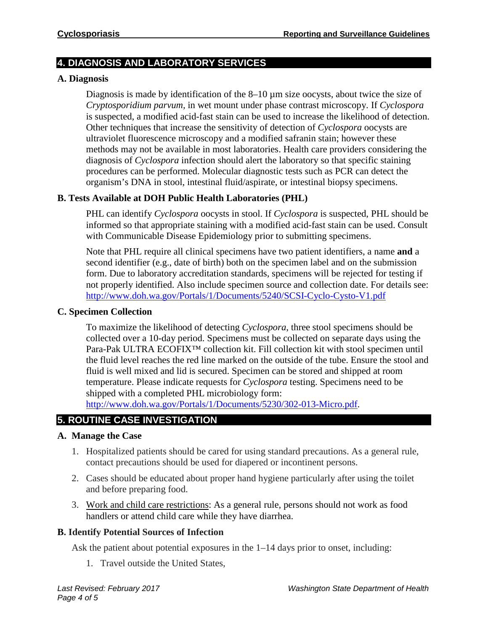# **4. DIAGNOSIS AND LABORATORY SERVICES**

# **A. Diagnosis**

Diagnosis is made by identification of the 8–10 µm size oocysts, about twice the size of *Cryptosporidium parvum,* in wet mount under phase contrast microscopy. If *Cyclospora* is suspected, a modified acid-fast stain can be used to increase the likelihood of detection. Other techniques that increase the sensitivity of detection of *Cyclospora* oocysts are ultraviolet fluorescence microscopy and a modified safranin stain; however these methods may not be available in most laboratories. Health care providers considering the diagnosis of *Cyclospora* infection should alert the laboratory so that specific staining procedures can be performed. Molecular diagnostic tests such as PCR can detect the organism's DNA in stool, intestinal fluid/aspirate, or intestinal biopsy specimens.

# **B. Tests Available at DOH Public Health Laboratories (PHL)**

PHL can identify *Cyclospora* oocysts in stool. If *Cyclospora* is suspected, PHL should be informed so that appropriate staining with a modified acid-fast stain can be used. Consult with Communicable Disease Epidemiology prior to submitting specimens.

Note that PHL require all clinical specimens have two patient identifiers, a name **and** a second identifier (e.g., date of birth) both on the specimen label and on the submission form. Due to laboratory accreditation standards, specimens will be rejected for testing if not properly identified. Also include specimen source and collection date. For details see: <http://www.doh.wa.gov/Portals/1/Documents/5240/SCSI-Cyclo-Cysto-V1.pdf>

# **C. Specimen Collection**

To maximize the likelihood of detecting *Cyclospora*, three stool specimens should be collected over a 10-day period. Specimens must be collected on separate days using the Para-Pak ULTRA ECOFIX™ collection kit. Fill collection kit with stool specimen until the fluid level reaches the red line marked on the outside of the tube. Ensure the stool and fluid is well mixed and lid is secured. Specimen can be stored and shipped at room temperature. Please indicate requests for *Cyclospora* testing. Specimens need to be shipped with a completed PHL microbiology form:

[http://www.doh.wa.gov/Portals/1/Documents/5230/302-013-Micro.pdf.](http://www.doh.wa.gov/Portals/1/Documents/5230/302-013-Micro.pdf)

# **5. ROUTINE CASE INVESTIGATION**

# **A. Manage the Case**

- 1. Hospitalized patients should be cared for using standard precautions. As a general rule, contact precautions should be used for diapered or incontinent persons.
- 2. Cases should be educated about proper hand hygiene particularly after using the toilet and before preparing food.
- 3. Work and child care restrictions: As a general rule, persons should not work as food handlers or attend child care while they have diarrhea.

# **B. Identify Potential Sources of Infection**

Ask the patient about potential exposures in the 1–14 days prior to onset, including:

1. Travel outside the United States,